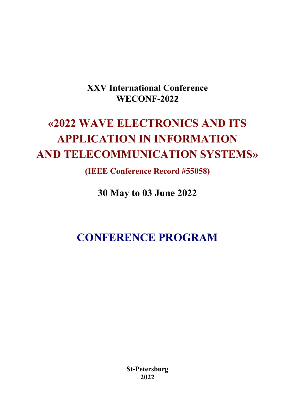# **XXV International Conference WECONF-2022**

# **«2022 WAVE ELECTRONICS AND ITS APPLICATION IN INFORMATION AND TELECOMMUNICATION SYSTEMS»**

**(IEEE Conference Record #55058)**

**30 May to 03 June 2022** 

**CONFERENCE PROGRAM** 

**St-Petersburg 2022**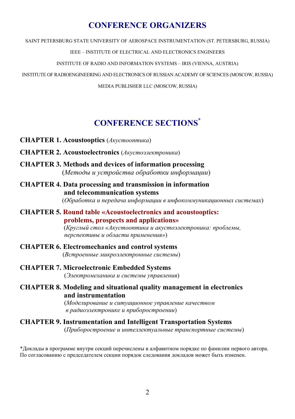# **CONFERENCE ORGANIZERS**

SAINT PETERSBURG STATE UNIVERSITY OF AEROSPACE INSTRUMENTATION (ST. PETERSBURG, RUSSIA)

IEEE – INSTITUTE OF ELECTRICAL AND ELECTRONICS ENGINEERS

INSTITUTE OF RADIO AND INFORMATION SYSTEMS – IRIS (VIENNA, AUSTRIA)

INSTITUTE OF RADIOENGINEERING AND ELECTRONICS OF RUSSIAN ACADEMY OF SCIENCES (MOSCOW, RUSSIA)

MEDIA PUBLISHER LLC (MOSCOW, RUSSIA)

# **CONFERENCE SECTIONS\***

- **CHAPTER 1. Acoustooptics** (*Акустооптика*)
- **CHAPTER 2. Acoustoelectronics** (*Акустоэлектроника*)
- **CHAPTER 3. Methods and devices of information processing** (*Методы и устройства обработки информации*)
- **CHAPTER 4. Data processing and transmission in information and telecommunication systems**

(*Обработка и передача информации в инфокоммуникационных системах*)

**CHAPTER 5. Round table «Acoustoelectronics and acoustooptics: problems, prospects and applications»**

> (*Круглый стол «Акустооптика и акустоэлектроника: проблемы, перспективы и области применения»*)

- **CHAPTER 6. Electromechanics and control systems**  (*Встроенные микроэлектронные системы*)
- **CHAPTER 7. Microelectronic Embedded Systems** (*Электромеханика и системы управления*)
- **CHAPTER 8. Modeling and situational quality management in electronics and instrumentation**

 (*Моделирование и ситуационное управление качеством в радиоэлектронике и приборостроении*)

# **CHAPTER 9. Instrumentation and Intelligent Transportation Systems**

(*Приборостроение и интеллектуальные транспортные системы*)

\*Доклады в программе внутри секций перечислены в алфавитном порядке по фамилии первого автора. По согласованию с председателем секции порядок следования докладов может быть изменен.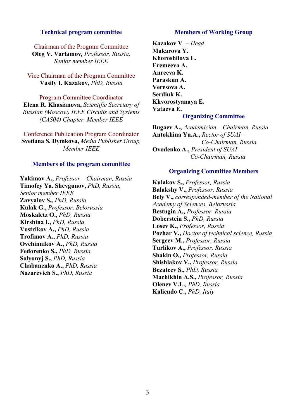#### **Technical program committee**

Chairman of the Program Committee **Oleg V. Varlamov***, Professor, Russia, Senior member IEEE*

Vice Chairman of the Program Committee **Vasily I. Kazakov,** *PhD, Russia*

Program Committee Coordinator **Elena R. Khasianova,** *Scientific Secretary of Russian (Moscow) IEEE Circuits and Systems (CAS04) Chapter, Member IEEE* 

Conference Publication Program Coordinator **Svetlana S. Dymkova,** *Media Publisher Group, Member IEEE* 

#### **Members of the program committee**

**Yakimov A.,** *Professor – Chairman, Russia* **Timofey Ya. Shevgunov,** *PhD, Russia, Senior member IEEE*  **Zavyalov S***., PhD, Russia* **Kulak G.,** *Professor, Belorussia* **Moskaletz O.,** *PhD, Russia* **Kirshina I.,** *PhD, Russia* **Vostrikov A.,** *PhD, Russia* **Trofimov A.,** *PhD, Russia* **Ovchinnikov A.,** *PhD, Russia* **Fedorenko S.,** *PhD, Russia* **Solyonyj S.,** *PhD, Russia* **Chabanenko A.,** *PhD, Russia*  **Nazarevich S.,** *PhD, Russia*

#### **Members of Working Group**

**Kazakov V***. – Head*  **Makarova Y. Khoroshilova L. Eremeeva A. Anreeva K. Paraskun A. Veresova A. Serdiuk K. Khvorostyanaya E. Vataeva E. Organizing Committee** 

**Bugaev A.,** *Academician – Chairman, Russia* **Antokhina Yu.A.,** *Rector of SUAI – Co-Chairman, Russia*  **Ovodenko A.,** *President of SUAI – Co-Chairman, Russia*

#### **Organizing Committee Members**

**Kulakov S.,** *Professor, Russia* **Balakshy V.,** *Professor, Russia* **Bely V.,** *corresponded-member of the National Academy of Sciences, Belorussia* **Bestugin A***., Professor, Russia* **Doberstein S.,** *PhD, Russia* **Losev K.,** *Professor, Russia* **Pozhar V.,** *Doctor of technical science, Russia*  **Sergeev M.,** *Professor, Russia* **Turlikov A.,** *Professor, Russia* **Shakin O.,** *Professor, Russia* **Shishlakov V.,** *Professor, Russia* **Bezateev S.,** *PhD, Russia* **Machikhin A.S.,** *Professor, Russia*  **Olenev V.L.***, PhD, Russia*  **Kaliendo C.,** *PhD, Italy*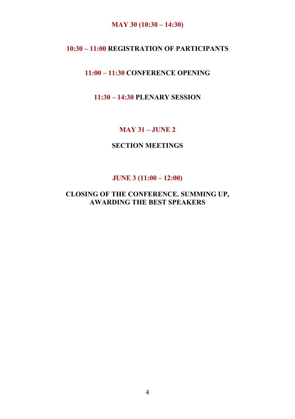# **MAY 30 (10:30 – 14:30)**

# **10:30 – 11:00 REGISTRATION OF PARTICIPANTS**

# **11:00 – 11:30 CONFERENCE OPENING**

# **11:30 – 14:30 PLENARY SESSION**

# **MAY 31 – JUNE 2**

# **SECTION MEETINGS**

#### **JUNE 3 (11:00 – 12:00)**

# **CLOSING OF THE CONFERENCE. SUMMING UP, AWARDING THE BEST SPEAKERS**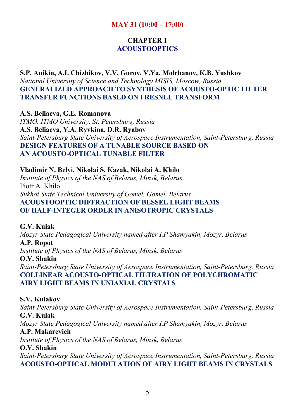# **MAY 31 (10:00 – 17:00)**

# **CHAPTER 1 ACOUSTOOPTICS**

**S.P. Anikin, A.I. Chizhikov, V.V. Gurov, V.Ya. Molchanov, K.B. Yushkov**  *National University of Science and Technology MISIS, Moscow, Russia*  **GENERALIZED APPROACH TO SYNTHESIS OF ACOUSTO-OPTIC FILTER TRANSFER FUNCTIONS BASED ON FRESNEL TRANSFORM** 

**A.S. Beliaeva, G.E. Romanova**  *ITMO. ITMO University, St. Petersburg, Russia*  **A.S. Beliaeva, Y.A. Ryvkina, D.R. Ryabov**  *Saint-Petersburg State University of Aerospace Instrumentation, Saint-Petersburg, Russia*  **DESIGN FEATURES OF A TUNABLE SOURCE BASED ON AN ACOUSTO-OPTICAL TUNABLE FILTER** 

**Vladimir N. Belyi, Nikolai S. Kazak, Nikolai A. Khilo**  *Institute of Physics of the NAS of Belarus, Minsk, Belarus*  Piotr A. Khilo *Sukhoi State Technical University of Gomel, Gomel, Belarus*  **ACOUSTOOPTIC DIFFRACTION OF BESSEL LIGHT BEAMS OF HALF-INTEGER ORDER IN ANISOTROPIC CRYSTALS** 

**G.V. Kulak**  *Mozyr State Pedagogical University named after I.P Shamyakin, Mozyr, Belarus*  **A.P. Ropot** 

*Institute of Physics of the NAS of Belarus, Minsk, Belarus* 

**O.V. Shakin**  *Saint-Petersburg State University of Aerospace Instrumentation, Saint-Petersburg, Russia*  **COLLINEAR ACOUSTO-OPTICAL FILTRATION OF POLYCHROMATIC AIRY LIGHT BEAMS IN UNIAXIAL CRYSTALS** 

#### **S.V. Kulakov**

*Saint-Petersburg State University of Aerospace Instrumentation, Saint-Petersburg, Russia*  **G.V. Kulak**  *Mozyr State Pedagogical University named after I.P Shamyakin, Mozyr, Belarus*  **A.P. Makarevich**  *Institute of Physics of the NAS of Belarus, Minsk, Belarus*  **O.V. Shakin** 

*Saint-Petersburg State University of Aerospace Instrumentation, Saint-Petersburg, Russia*  **ACOUSTO-OPTICAL MODULATION OF AIRY LIGHT BEAMS IN CRYSTALS**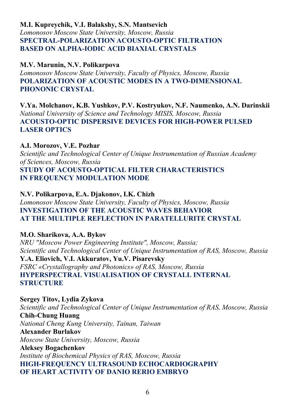# **M.I. Kupreychik, V.I. Balakshy, S.N. Mantsevich**  *Lomonosov Moscow State University, Moscow, Russia*  **SPECTRAL-POLARIZATION ACOUSTO-OPTIC FILTRATION BASED ON ALPHA-IODIC ACID BIAXIAL CRYSTALS**

# **M.V. Marunin, N.V. Polikarpova**

*Lomonosov Moscow State University, Faculty of Physics, Moscow, Russia*  **POLARIZATION OF ACOUSTIC MODES IN A TWO-DIMENSIONAL PHONONIC CRYSTAL** 

**V.Ya. Molchanov, K.B. Yushkov, P.V. Kostryukov, N.F. Naumenko, A.N. Darinskii**  *National University of Science and Technology MISIS, Moscow, Russia*  **ACOUSTO-OPTIC DISPERSIVE DEVICES FOR HIGH-POWER PULSED LASER OPTICS** 

# **A.I. Morozov, V.E. Pozhar**

*Scientific and Technological Center of Unique Instrumentation of Russian Academy of Sciences, Moscow, Russia*  **STUDY OF ACOUSTO-OPTICAL FILTER CHARACTERISTICS** 

**IN FREQUENCY MODULATION MODE** 

### **N.V. Polikarpova, E.A. Djakonov, I.K. Chizh**

*Lomonosov Moscow State University, Faculty of Physics, Moscow, Russia*  **INVESTIGATION OF THE ACOUSTIC WAVES BEHAVIOR AT THE MULTIPLE REFLECTION IN PARATELLURITE CRYSTAL** 

# **M.O. Sharikova, A.A. Bykov**

*NRU "Moscow Power Engineering Institute", Moscow, Russia; Scientific and Technological Center of Unique Instrumentation of RAS, Moscow, Russia*  **Y.A. Eliovich, V.I. Akkuratov, Yu.V. Pisarevsky**  *FSRC «Crystallography and Photonics» of RAS, Moscow, Russia*  **HYPERSPECTRAL VISUALISATION OF CRYSTALL INTERNAL STRUCTURE** 

**Sergey Titov, Lydia Zykova**  *Scientific and Technological Center of Unique Instrumentation of RAS, Moscow, Russia*  **Chih-Chung Huang**  *National Cheng Kung University, Tainan, Taiwan*  **Alexander Burlakov**  *Moscow State University, Moscow, Russia*  **Aleksey Bogachenkov**  *Institute of Biochemical Physics of RAS, Moscow, Russia*  **HIGH-FREQUENCY ULTRASOUND ECHOCARDIOGRAPHY OF HEART ACTIVITY OF DANIO RERIO EMBRYO**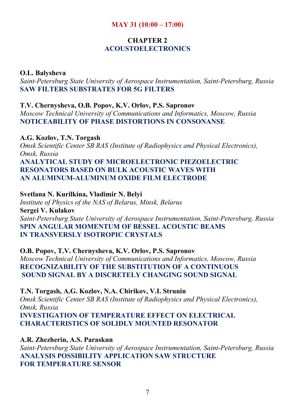# **MAY 31 (10:00 – 17:00)**

# **CHAPTER 2 ACOUSTOELECTRONICS**

#### **O.L. Balysheva**

*Saint-Petersburg State University of Aerospace Instrumentation, Saint-Petersburg, Russia*  **SAW FILTERS SUBSTRATES FOR 5G FILTERS** 

### **T.V. Chernysheva, O.B. Popov, K.V. Orlov, P.S. Sapronov**

*Moscow Technical University of Communications and Informatics, Moscow, Russia*  **NOTICEABILITY OF PHASE DISTORTIONS IN CONSONANSE** 

### **A.G. Kozlov, T.N. Torgash**

*Omsk Scientific Center SB RAS (Institute of Radiophysics and Physical Electronics), Omsk, Russia* 

# **ANALYTICAL STUDY OF MICROELECTRONIC PIEZOELECTRIC RESONATORS BASED ON BULK ACOUSTIC WAVES WITH AN ALUMINUM-ALUMINUM OXIDE FILM ELECTRODE**

#### **Svetlana N. Kurilkina, Vladimir N. Belyi**

*Institute of Physics of the NAS of Belarus, Minsk, Belarus*  **Sergei V. Kulakov**  *Saint-Petersburg State University of Aerospace Instrumentation, Saint-Petersburg, Russia*  **SPIN ANGULAR MOMENTUM OF BESSEL ACOUSTIC BEAMS IN TRANSVERSLY ISOTROPIC CRYSTALS** 

**O.B. Popov, T.V. Chernysheva, K.V. Orlov, P.S. Sapronov**  *Moscow Technical University of Communications and Informatics, Moscow, Russia*  **RECOGNIZABILITY OF THE SUBSTITUTION OF A CONTINUOUS SOUND SIGNAL BY A DISCRETELY CHANGING SOUND SIGNAL** 

**T.N. Torgash, A.G. Kozlov, N.A. Chirikov, V.I. Strunin**  *Omsk Scientific Center SB RAS (Institute of Radiophysics and Physical Electronics), Omsk, Russia*  **INVESTIGATION OF TEMPERATURE EFFECT ON ELECTRICAL CHARACTERISTICS OF SOLIDLY MOUNTED RESONATOR** 

**A.R. Zhezherin, A.S. Paraskun**  *Saint-Petersburg State University of Aerospace Instrumentation, Saint-Petersburg, Russia*  **ANALYSIS POSSIBILITY APPLICATION SAW STRUCTURE FOR TEMPERATURE SENSOR**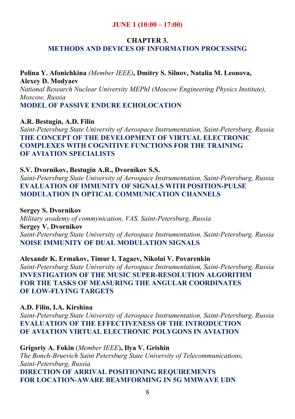# **JUNE 1 (10:00 – 17:00)**

# **CHAPTER 3. METHODS AND DEVICES OF INFORMATION PROCESSING**

# **Polina Y. Afonichkina** *(Member IEEE)***, Dmitry S. Silnov, Natalia M. Leonova, Alexey D. Modyaev**  *National Research Nuclear University MEPhI (Moscow Engineering Physics Institute), Moscow, Russia*

**MODEL OF PASSIVE ENDURE ECHOLOCATION** 

# **A.R. Bestugin, A.D. Filin**

*Saint-Petersburg State University of Aerospace Instrumentation, Saint-Petersburg, Russia*  **THE CONCEPT OF THE DEVELOPMENT OF VIRTUAL ELECTRONIC COMPLEXES WITH COGNITIVE FUNCTIONS FOR THE TRAINING OF AVIATION SPECIALISTS** 

# **S.V. Dvornikov, Bestugin A.R., Dvornikov S.S.**

*Saint-Petersburg State University of Aerospace Instrumentation, Saint-Petersburg, Russia*  **EVALUATION OF IMMUNITY OF SIGNALS WITH POSITION-PULSE MODULATION IN OPTICAL COMMUNICATION CHANNELS** 

**Sergey S. Dvornikov** 

*Military avademy of commynication, VAS, Saint-Petersburg, Russia*  **Sergey V. Dvornikov**  *Saint-Petersburg State University of Aerospace Instrumentation, Saint-Petersburg, Russia*  **NOISE IMMUNITY OF DUAL MODULATION SIGNALS** 

**Alexandr K. Ermakov, Timur I. Tagaev, Nikolai V. Povarenkin**  *Saint-Petersburg State University of Aerospace Instrumentation, Saint-Petersburg, Russia*  **INVESTIGATION OF THE MUSIC SUPER-RESOLUTION ALGORITHM FOR THE TASKS OF MEASURING THE ANGULAR COORDINATES OF LOW-FLYING TARGETS** 

# **A.D. Filin, I.A. Kirshina**

*Saint-Petersburg State University of Aerospace Instrumentation, Saint-Petersburg, Russia*  **EVALUATION OF THE EFFECTIVENESS OF THE INTRODUCTION OF AVIATION VIRTUAL ELECTRONIC POLYGONS IN AVIATION** 

**Grigoriy A. Fokin** (*Member IEEE*)**, Ilya V. Grishin**  *The Bonch-Bruevich Saint Petersburg State University of Telecommunications, Saint-Petersburg, Russia*  **DIRECTION OF ARRIVAL POSITIONING REQUIREMENTS FOR LOCATION-AWARE BEAMFORMING IN 5G MMWAVE UDN**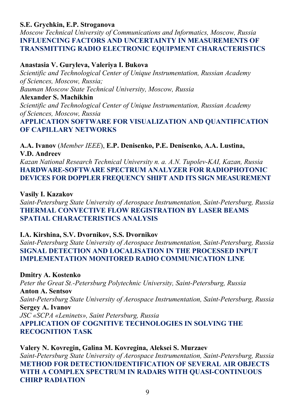# **S.E. Grychkin, E.P. Stroganova**

*Moscow Technical University of Communications and Informatics, Moscow, Russia*  **INFLUENCING FACTORS AND UNCERTAINTY IN MEASUREMENTS OF TRANSMITTING RADIO ELECTRONIC EQUIPMENT CHARACTERISTICS** 

# **Anastasia V. Guryleva, Valeriya I. Bukova**

*Scientific and Technological Center of Unique Instrumentation, Russian Academy of Sciences, Moscow, Russia; Bauman Moscow State Technical University, Moscow, Russia* 

**Alexander S. Machikhin** 

*Scientific and Technological Center of Unique Instrumentation, Russian Academy of Sciences, Moscow, Russia* 

**APPLICATION SOFTWARE FOR VISUALIZATION AND QUANTIFICATION OF CAPILLARY NETWORKS** 

**A.A. Ivanov** (*Member IEEE*), **E.P. Denisenko, P.E. Denisenko, A.A. Lustina, V.D. Andreev** 

*Kazan National Research Technical University n. a. A.N. Tupolev-KAI, Kazan, Russia*  **HARDWARE-SOFTWARE SPECTRUM ANALYZER FOR RADIOPHOTONIC DEVICES FOR DOPPLER FREQUENCY SHIFT AND ITS SIGN MEASUREMENT** 

### **Vasily I. Kazakov**

*Saint-Petersburg State University of Aerospace Instrumentation, Saint-Petersburg, Russia*  **THERMAL CONVECTIVE FLOW REGISTRATION BY LASER BEAMS SPATIAL CHARACTERISTICS ANALYSIS** 

### **I.A. Kirshina, S.V. Dvornikov, S.S. Dvornikov**

*Saint-Petersburg State University of Aerospace Instrumentation, Saint-Petersburg, Russia*  **SIGNAL DETECTION AND LOCALISATION IN THE PROCESSED INPUT IMPLEMENTATION MONITORED RADIO COMMUNICATION LINE** 

### **Dmitry A. Kostenko**

*Peter the Great St.-Petersburg Polytechnic University, Saint-Petersburg, Russia*  **Anton A. Sentsov**  *Saint-Petersburg State University of Aerospace Instrumentation, Saint-Petersburg, Russia*  **Sergey A. Ivanov**  *JSC «SCPA «Leninets», Saint Petersburg, Russia*  **APPLICATION OF COGNITIVE TECHNOLOGIES IN SOLVING THE RECOGNITION TASK** 

**Valery N. Kovregin, Galina M. Kovregina, Aleksei S. Murzaev**  *Saint-Petersburg State University of Aerospace Instrumentation, Saint-Petersburg, Russia*  **METHOD FOR DETECTION/IDENTIFICATION OF SEVERAL AIR OBJECTS WITH A COMPLEX SPECTRUM IN RADARS WITH QUASI-CONTINUOUS CHIRP RADIATION**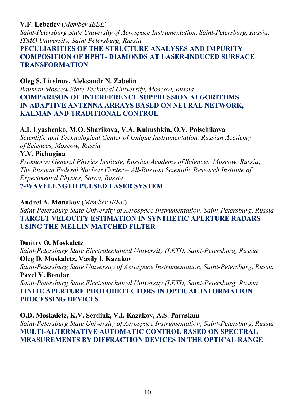# **V.F. Lebedev** (*Member IEEE*)

*Saint-Petersburg State University of Aerospace Instrumentation, Saint-Petersburg, Russia; ITMO University, Saint Petersburg, Russia* 

# **PECULIARITIES OF THE STRUCTURE ANALYSES AND IMPURITY COMPOSITION OF HPHT- DIAMONDS AT LASER-INDUCED SURFACE TRANSFORMATION**

# **Oleg S. Litvinov, Aleksandr N. Zabelin**

*Bauman Moscow State Technical University, Moscow, Russia*  **COMPARISON OF INTERFERENCE SUPPRESSION ALGORITHMS IN ADAPTIVE ANTENNA ARRAYS BASED ON NEURAL NETWORK, KALMAN AND TRADITIONAL CONTROL** 

# **A.I. Lyashenko, M.O. Sharikova, V.A. Kukushkin, O.V. Polschikova**

*Scientific and Technological Center of Unique Instrumentation, Russian Academy of Sciences, Moscow, Russia* 

# **Y.V. Pichugina**

*Prokhorov General Physics Institute, Russian Academy of Sciences, Moscow, Russia; The Russian Federal Nuclear Center – All-Russian Scientific Research Institute of Experimental Physics, Sarov, Russia*  **7-WAVELENGTH PULSED LASER SYSTEM** 

# **Andrei A. Monakov** (*Member IEEE*)

*Saint-Petersburg State University of Aerospace Instrumentation, Saint-Petersburg, Russia*  **TARGET VELOCITY ESTIMATION IN SYNTHETIC APERTURE RADARS USING THE MELLIN MATCHED FILTER** 

# **Dmitry O. Moskaletz**  *Saint-Petersburg State Electrotechnical University (LETI), Saint-Petersburg, Russia*  **Oleg D. Moskaletz, Vasily I. Kazakov**  *Saint-Petersburg State University of Aerospace Instrumentation, Saint-Petersburg, Russia*  **Pavel V. Bondar**  *Saint-Petersburg State Electrotechnical University (LETI), Saint-Petersburg, Russia*  **FINITE APERTURE PHOTODETECTORS IN OPTICAL INFORMATION PROCESSING DEVICES**

### **O.D. Moskaletz, K.V. Serdiuk, V.I. Kazakov, A.S. Paraskun**

*Saint-Petersburg State University of Aerospace Instrumentation, Saint-Petersburg, Russia*  **MULTI-ALTERNATIVE AUTOMATIC CONTROL BASED ON SPECTRAL MEASUREMENTS BY DIFFRACTION DEVICES IN THE OPTICAL RANGE**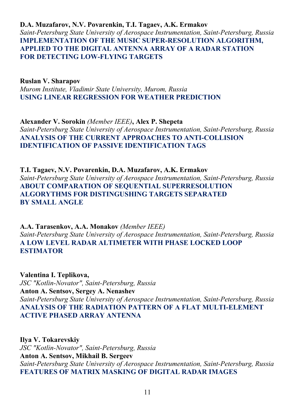**D.A. Muzafarov, N.V. Povarenkin, T.I. Tagaev, A.K. Ermakov**  *Saint-Petersburg State University of Aerospace Instrumentation, Saint-Petersburg, Russia*  **IMPLEMENTATION OF THE MUSIC SUPER-RESOLUTION ALGORITHM, APPLIED TO THE DIGITAL ANTENNA ARRAY OF A RADAR STATION FOR DETECTING LOW-FLYING TARGETS** 

#### **Ruslan V. Sharapov**

*Murom Institute, Vladimir State University, Murom, Russia*  **USING LINEAR REGRESSION FOR WEATHER PREDICTION** 

**Alexander V. Sorokin** *(Member IEEE)***, Alex P. Shepeta**  *Saint-Petersburg State University of Aerospace Instrumentation, Saint-Petersburg, Russia*  **ANALYSIS OF THE CURRENT APPROACHES TO ANTI-COLLISION IDENTIFICATION OF PASSIVE IDENTIFICATION TAGS** 

**T.I. Tagaev, N.V. Povarenkin, D.A. Muzafarov, A.K. Ermakov**  *Saint-Petersburg State University of Aerospace Instrumentation, Saint-Petersburg, Russia*  **ABOUT COMPARATION OF SEQUENTIAL SUPERRESOLUTION ALGORYTHMS FOR DISTINGUSHING TARGETS SEPARATED BY SMALL ANGLE** 

**A.A. Tarasenkov, A.A. Monakov** *(Member IEEE) Saint-Petersburg State University of Aerospace Instrumentation, Saint-Petersburg, Russia*  **A LOW LEVEL RADAR ALTIMETER WITH PHASE LOCKED LOOP ESTIMATOR** 

**Valentina I. Teplikova,**  *JSC "Kotlin-Novator", Saint-Petersburg, Russia*  **Anton A. Sentsov, Sergey A. Nenashev**  *Saint-Petersburg State University of Aerospace Instrumentation, Saint-Petersburg, Russia*  **ANALYSIS OF THE RADIATION PATTERN OF A FLAT MULTI-ELEMENT ACTIVE PHASED ARRAY ANTENNA** 

**Ilya V. Tokarevskiy**  *JSC "Kotlin-Novator", Saint-Petersburg, Russia*  **Anton A. Sentsov, Mikhail B. Sergeev**  *Saint-Petersburg State University of Aerospace Instrumentation, Saint-Petersburg, Russia*  **FEATURES OF MATRIX MASKING OF DIGITAL RADAR IMAGES**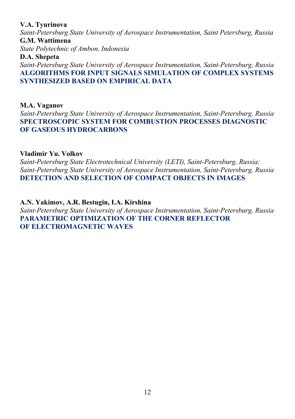#### **V.A. Tyurinova**

*Saint-Petersburg State University of Aerospace Instrumentation, Saint Petersburg, Russia*  **G.M. Wattimena** 

*State Polytechnic of Ambon, Indonesia* 

# **D.A. Shepeta**

*Saint-Petersburg State University of Aerospace Instrumentation, Saint-Petersburg, Russia*  **ALGORITHMS FOR INPUT SIGNALS SIMULATION OF COMPLEX SYSTEMS SYNTHESIZED BASED ON EMPIRICAL DATA** 

**M.A. Vaganov** 

*Saint-Petersburg State University of Aerospace Instrumentation, Saint-Petersburg, Russia*  **SPECTROSCOPIC SYSTEM FOR COMBUSTION PROCESSES DIAGNOSTIC OF GASEOUS HYDROCARBONS** 

# **Vladimir Yu. Volkov**

*Saint-Petersburg State Electrotechnical University (LETI), Saint-Petersburg, Russia; Saint-Petersburg State University of Aerospace Instrumentation, Saint-Petersburg, Russia*  **DETECTION AND SELECTION OF COMPACT OBJECTS IN IMAGES** 

**A.N. Yakimov, A.R. Bestugin, I.A. Kirshina**  *Saint-Petersburg State University of Aerospace Instrumentation, Saint-Petersburg, Russia*  **PARAMETRIC OPTIMIZATION OF THE CORNER REFLECTOR OF ELECTROMAGNETIC WAVES**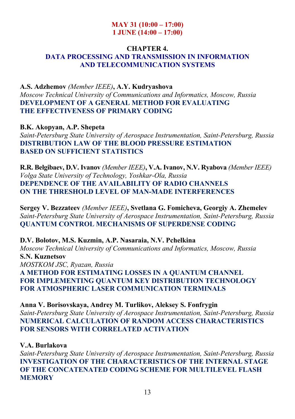#### **MAY 31 (10:00 – 17:00) 1 JUNE (14:00 – 17:00)**

#### **CHAPTER 4. DATA PROCESSING AND TRANSMISSION IN INFORMATION AND TELECOMMUNICATION SYSTEMS**

# **A.S. Adzhemov** *(Member IEEE)***, A.Y. Kudryashova**  *Moscow Technical University of Communications and Informatics, Moscow, Russia*  **DEVELOPMENT OF A GENERAL METHOD FOR EVALUATING THE EFFECTIVENESS OF PRIMARY CODING**

**B.K. Akopyan, A.P. Shepeta**  *Saint-Petersburg State University of Aerospace Instrumentation, Saint-Petersburg, Russia*  **DISTRIBUTION LAW OF THE BLOOD PRESSURE ESTIMATION BASED ON SUFFICIENT STATISTICS** 

**R.R. Belgibaev, D.V. Ivanov** *(Member IEEE)***, V.A. Ivanov, N.V. Ryabova** *(Member IEEE) Volga State University of Technology, Yoshkar-Ola, Russia*  **DEPENDENCE OF THE AVAILABILITY OF RADIO CHANNELS ON THE THRESHOLD LEVEL OF MAN-MADE INTERFERENCES** 

**Sergey V. Bezzateev** *(Member IEEE)***, Svetlana G. Fomicheva, Georgiy A. Zhemelev**  *Saint-Petersburg State University of Aerospace Instrumentation, Saint-Petersburg, Russia*  **QUANTUM CONTROL MECHANISMS OF SUPERDENSE CODING** 

**D.V. Bolotov, M.S. Kuzmin, A.P. Nasaraia, N.V. Pchelkina**  *Moscow Technical University of Communications and Informatics, Moscow, Russia*  **S.N. Kuznetsov**  *MOSTKOM JSC, Ryazan, Russia*  **A METHOD FOR ESTIMATING LOSSES IN A QUANTUM CHANNEL FOR IMPLEMENTING QUANTUM KEY DISTRIBUTION TECHNOLOGY FOR ATMOSPHERIC LASER COMMUNICATION TERMINALS** 

**Anna V. Borisovskaya, Andrey M. Turlikov, Aleksey S. Fonfrygin**  *Saint-Petersburg State University of Aerospace Instrumentation, Saint-Petersburg, Russia*  **NUMERICAL CALCULATION OF RANDOM ACCESS CHARACTERISTICS FOR SENSORS WITH CORRELATED ACTIVATION** 

### **V.A. Burlakova**

*Saint-Petersburg State University of Aerospace Instrumentation, Saint-Petersburg, Russia*  **INVESTIGATION OF THE CHARACTERISTICS OF THE INTERNAL STAGE OF THE CONCATENATED CODING SCHEME FOR MULTILEVEL FLASH MEMORY**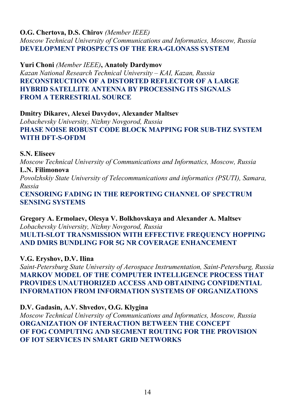# **O.G. Chertova, D.S. Chirov** *(Member IEEE)*

*Moscow Technical University of Communications and Informatics, Moscow, Russia*  **DEVELOPMENT PROSPECTS OF THE ERA-GLONASS SYSTEM** 

**Yuri Choni** *(Member IEEE)***, Anatoly Dardymov**  *Kazan National Research Technical University – KAI, Kazan, Russia*  **RECONSTRUCTION OF A DISTORTED REFLECTOR OF A LARGE HYBRID SATELLITE ANTENNA BY PROCESSING ITS SIGNALS FROM A TERRESTRIAL SOURCE** 

# **Dmitry Dikarev, Alexei Davydov, Alexander Maltsev**

*Lobachevsky University, Nizhny Novgorod, Russia*  **PHASE NOISE ROBUST CODE BLOCK MAPPING FOR SUB-THZ SYSTEM WITH DFT-S-OFDM** 

**S.N. Eliseev** 

*Moscow Technical University of Communications and Informatics, Moscow, Russia*  **L.N. Filimonova** 

*Povolzhskiy State University of Telecommunications and informatics (PSUTI), Samara, Russia* 

**CENSORING FADING IN THE REPORTING CHANNEL OF SPECTRUM SENSING SYSTEMS** 

**Gregory A. Ermolaev, Olesya V. Bolkhovskaya and Alexander A. Maltsev**  *Lobachevsky University, Nizhny Novgorod, Russia*  **MULTI-SLOT TRANSMISSION WITH EFFECTIVE FREQUENCY HOPPING AND DMRS BUNDLING FOR 5G NR COVERAGE ENHANCEMENT** 

**V.G. Eryshov, D.V. Ilina** 

*Saint-Petersburg State University of Aerospace Instrumentation, Saint-Petersburg, Russia*  **MARKOV MODEL OF THE COMPUTER INTELLIGENCE PROCESS THAT PROVIDES UNAUTHORIZED ACCESS AND OBTAINING CONFIDENTIAL INFORMATION FROM INFORMATION SYSTEMS OF ORGANIZATIONS** 

**D.V. Gadasin, A.V. Shvedov, O.G. Klygina** 

*Moscow Technical University of Communications and Informatics, Moscow, Russia*  **ORGANIZATION OF INTERACTION BETWEEN THE CONCEPT OF FOG COMPUTING AND SEGMENT ROUTING FOR THE PROVISION OF IOT SERVICES IN SMART GRID NETWORKS**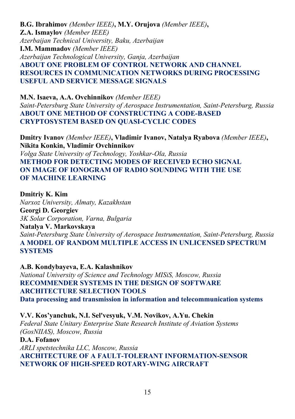**B.G. Ibrahimov** *(Member IEEE)***, M.Y. Orujova** *(Member IEEE)***, Z.A. Ismaylov** *(Member IEEE) Azerbaijan Technical University, Baku, Azerbaijan*  **I.M. Mammadov** *(Member IEEE) Azerbaijan Technological University, Ganja, Azerbaijan*  **ABOUT ONE PROBLEM OF CONTROL NETWORK AND CHANNEL RESOURCES IN COMMUNICATION NETWORKS DURING PROCESSING USEFUL AND SERVICE MESSAGE SIGNALS** 

**M.N. Isaeva, A.A. Ovchinnikov** *(Member IEEE) Saint-Petersburg State University of Aerospace Instrumentation, Saint-Petersburg, Russia*  **ABOUT ONE METHOD OF CONSTRUCTING A CODE-BASED CRYPTOSYSTEM BASED ON QUASI-CYCLIC CODES** 

**Dmitry Ivanov** *(Member IEEE)***, Vladimir Ivanov, Natalya Ryabova** *(Member IEEE)***, Nikita Konkin, Vladimir Ovchinnikov** 

*Volga State University of Technology, Yoshkar-Ola, Russia*  **METHOD FOR DETECTING MODES OF RECEIVED ECHO SIGNAL ON IMAGE OF IONOGRAM OF RADIO SOUNDING WITH THE USE OF MACHINE LEARNING** 

**Dmitriy K. Kim**  *Narxoz University, Almaty, Kazakhstan*  **Georgi D. Georgiev**  *3K Solar Corporation, Varna, Bulgaria* 

**Natalya V. Markovskaya** 

*Saint-Petersburg State University of Aerospace Instrumentation, Saint-Petersburg, Russia*  **A MODEL OF RANDOM MULTIPLE ACCESS IN UNLICENSED SPECTRUM SYSTEMS** 

**A.B. Kondybayeva, E.A. Kalashnikov** 

*National University of Science and Technology MISiS, Moscow, Russia*  **RECOMMENDER SYSTEMS IN THE DESIGN OF SOFTWARE ARCHITECTURE SELECTION TOOLS Data processing and transmission in information and telecommunication systems** 

**V.V. Kos'yanchuk, N.I. Sel'vesyuk, V.M. Novikov, A.Yu. Chekin**  *Federal State Unitary Enterprise State Research Institute of Aviation Systems (GosNIIAS), Moscow, Russia* 

**D.A. Fofanov**  *ARLI spetstechnika LLC, Moscow, Russia*  **ARCHITECTURE OF A FAULT-TOLERANT INFORMATION-SENSOR NETWORK OF HIGH-SPEED ROTARY-WING AIRCRAFT**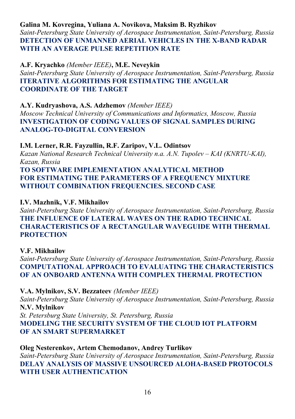# **Galina M. Kovreginа, Yuliana A. Novikova, Maksim B. Ryzhikov**

*Saint-Petersburg State University of Aerospace Instrumentation, Saint-Petersburg, Russia*  **DETECTION OF UNMANNED AERIAL VEHICLES IN THE X-BAND RADAR WITH AN AVERAGE PULSE REPETITION RATE** 

**A.F. Kryachko** *(Member IEEE)***, M.E. Neveykin** 

*Saint-Petersburg State University of Aerospace Instrumentation, Saint-Petersburg, Russia*  **ITERATIVE ALGORITHMS FOR ESTIMATING THE ANGULAR COORDINATE OF THE TARGET** 

# **A.Y. Kudryashova, A.S. Adzhemov** *(Member IEEE)*

*Moscow Technical University of Communications and Informatics, Moscow, Russia*  **INVESTIGATION OF CODING VALUES OF SIGNAL SAMPLES DURING ANALOG-TO-DIGITAL CONVERSION** 

# **I.M. Lerner, R.R. Fayzullin, R.F. Zaripov, V.L. Odintsov**

*Kazan National Research Technical University n.a. A.N. Tupolev – KAI (KNRTU-KAI), Kazan, Russia* 

**TO SOFTWARE IMPLEMENTATION ANALYTICAL METHOD FOR ESTIMATING THE PARAMETERS OF A FREQUENCY MIXTURE WITHOUT COMBINATION FREQUENCIES. SECOND CASE** 

# **I.V. Mazhnik, V.F. Mikhailov**

*Saint-Petersburg State University of Aerospace Instrumentation, Saint-Petersburg, Russia*  **THE INFLUENCE OF LATERAL WAVES ON THE RADIO TECHNICAL CHARACTERISTICS OF A RECTANGULAR WAVEGUIDE WITH THERMAL PROTECTION** 

# **V.F. Mikhailov**

*Saint-Petersburg State University of Aerospace Instrumentation, Saint-Petersburg, Russia*  **COMPUTATIONAL APPROACH TO EVALUATING THE CHARACTERISTICS OF AN ONBOARD ANTENNA WITH COMPLEX THERMAL PROTECTION** 

**V.A. Mylnikov, S.V. Bezzateev** *(Member IEEE) Saint-Petersburg State University of Aerospace Instrumentation, Saint-Petersburg, Russia*  **N.V. Mylnikov**  *St. Petersburg State University, St. Petersburg, Russia*  **MODELING THE SECURITY SYSTEM OF THE CLOUD IOT PLATFORM OF AN SMART SUPERMARKET** 

# **Oleg Nesterenkov, Artem Chemodanov, Andrey Turlikov**  *Saint-Petersburg State University of Aerospace Instrumentation, Saint-Petersburg, Russia*  **DELAY ANALYSIS OF MASSIVE UNSOURCED ALOHA-BASED PROTOCOLS WITH USER AUTHENTICATION**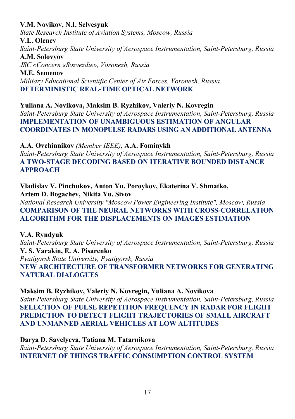# **V.M. Novikov, N.I. Selvesyuk**

*State Research Institute of Aviation Systems, Moscow, Russia*  **V.L. Olenev**  *Saint-Petersburg State University of Aerospace Instrumentation, Saint-Petersburg, Russia*  **A.M. Solovyov** 

*JSC «Concern «Sozvezdie», Voronezh, Russia* 

**M.E. Semenov**  *Military Educational Scientific Center of Air Forces, Voronezh, Russia*  **DETERMINISTIC REAL-TIME OPTICAL NETWORK** 

**Yuliana A. Novikova, Maksim B. Ryzhikov, Valeriy N. Kovregin**  *Saint-Petersburg State University of Aerospace Instrumentation, Saint-Petersburg, Russia*  **IMPLEMENTATION OF UNAMBIGUOUS ESTIMATION OF ANGULAR COORDINATES IN MONOPULSE RADARS USING AN ADDITIONAL ANTENNA** 

**A.A. Ovchinnikov** *(Member IEEE)***, A.A. Fominykh** 

*Saint-Petersburg State University of Aerospace Instrumentation, Saint-Petersburg, Russia*  **A TWO-STAGE DECODING BASED ON ITERATIVE BOUNDED DISTANCE APPROACH** 

**Vladislav V. Pinchukov, Anton Yu. Poroykov, Ekaterina V. Shmatko, Artem D. Bogachev, Nikita Yu. Sivov** 

*National Research University "Moscow Power Engineering Institute", Moscow, Russia*  **COMPARISON OF THE NEURAL NETWORKS WITH CROSS-CORRELATION ALGORITHM FOR THE DISPLACEMENTS ON IMAGES ESTIMATION** 

# **V.A. Ryndyuk**

*Saint-Petersburg State University of Aerospace Instrumentation, Saint-Petersburg, Russia*  **Y. S. Varakin, E. A. Pisarenko**  *Pyatigorsk State University, Pyatigorsk, Russia*  **NEW ARCHITECTURE OF TRANSFORMER NETWORKS FOR GENERATING NATURAL DIALOGUES** 

**Maksim B. Ryzhikov, Valeriy N. Kovregin, Yuliana A. Novikova** 

*Saint-Petersburg State University of Aerospace Instrumentation, Saint-Petersburg, Russia*  **SELECTION OF PULSE REPETITION FREQUENCY IN RADAR FOR FLIGHT PREDICTION TO DETECT FLIGHT TRAJECTORIES OF SMALL AIRCRAFT AND UNMANNED AERIAL VEHICLES AT LOW ALTITUDES** 

# **Darya D. Savelyeva, Tatiana M. Tatarnikova**

*Saint-Petersburg State University of Aerospace Instrumentation, Saint-Petersburg, Russia*  **INTERNET OF THINGS TRAFFIC CONSUMPTION CONTROL SYSTEM**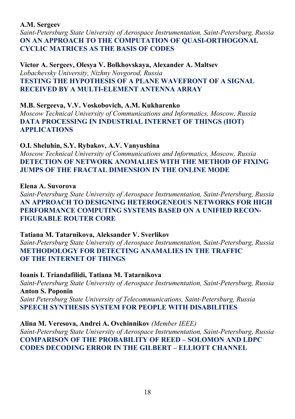#### **A.M. Sergeev**

*Saint-Petersburg State University of Aerospace Instrumentation, Saint-Petersburg, Russia*  **ON AN APPROACH TO THE COMPUTATION OF QUASI-ORTHOGONAL CYCLIC MATRICES AS THE BASIS OF CODES** 

**Victor A. Sergeev, Olesya V. Bolkhovskaya, Alexander A. Maltsev**  *Lobachevsky University, Nizhny Novgorod, Russia*  **TESTING THE HYPOTHESIS OF A PLANE WAVEFRONT OF A SIGNAL RECEIVED BY A MULTI-ELEMENT ANTENNA ARRAY** 

### **M.B. Sergeeva, V.V. Voskobovich, A.M. Kukharenko**

*Moscow Technical University of Communications and Informatics, Moscow, Russia*  **DATA PROCESSING IN INDUSTRIAL INTERNET OF THINGS (IIOT) APPLICATIONS** 

### **O.I. Sheluhin, S.Y. Rybakov, A.V. Vanyushina**

*Moscow Technical University of Communications and Informatics, Moscow, Russia*  **DETECTION OF NETWORK ANOMALIES WITH THE METHOD OF FIXING JUMPS OF THE FRACTAL DIMENSION IN THE ONLINE MODE** 

### **Elena A. Suvorova**

*Saint-Petersburg State University of Aerospace Instrumentation, Saint-Petersburg, Russia*  **AN APPROACH TO DESIGNING HETEROGENEOUS NETWORKS FOR HIGH PERFORMANCE COMPUTING SYSTEMS BASED ON A UNIFIED RECON-FIGURABLE ROUTER CORE** 

### **Tatiana M. Tatarnikova, Aleksander V. Sverlikov**

*Saint-Petersburg State University of Aerospace Instrumentation, Saint-Petersburg, Russia*  **METHODOLOGY FOR DETECTING ANAMALIES IN THE TRAFFIC OF THE INTERNET OF THINGS** 

### **Ioanis I. Triandafilidi, Tatiana M. Tatarnikova**

*Saint-Petersburg State University of Aerospace Instrumentation, Saint-Petersburg, Russia*  **Anton S. Poponin** 

*Saint Petersburg State University of Telecommunications, Saint-Petersburg, Russia*  **SPEECH SYNTHESIS SYSTEM FOR PEOPLE WITH DISABILITIES** 

### **Alina M. Veresova, Andrei A. Ovchinnikov** *(Member IEEE)*

*Saint-Petersburg State University of Aerospace Instrumentation, Saint-Petersburg, Russia*  **COMPARISON OF THE PROBABILITY OF REED – SOLOMON AND LDPC CODES DECODING ERROR IN THE GILBERT – ELLIOTT CHANNEL**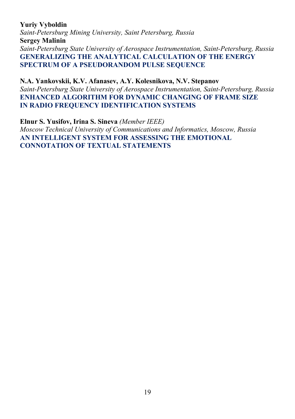# **Yuriy Vyboldin**

*Saint-Petersburg Mining University, Saint Petersburg, Russia*  **Sergey Malinin**  *Saint-Petersburg State University of Aerospace Instrumentation, Saint-Petersburg, Russia*  **GENERALIZING THE ANALYTICAL CALCULATION OF THE ENERGY SPECTRUM OF A PSEUDORANDOM PULSE SEQUENCE** 

**N.A. Yankovskii, K.V. Afanasev, A.Y. Kolesnikova, N.V. Stepanov**  *Saint-Petersburg State University of Aerospace Instrumentation, Saint-Petersburg, Russia*  **ENHANCED ALGORITHM FOR DYNAMIC CHANGING OF FRAME SIZE IN RADIO FREQUENCY IDENTIFICATION SYSTEMS** 

**Elnur S. Yusifov, Irina S. Sineva** *(Member IEEE) Moscow Technical University of Communications and Informatics, Moscow, Russia*  **AN INTELLIGENT SYSTEM FOR ASSESSING THE EMOTIONAL CONNOTATION OF TEXTUAL STATEMENTS**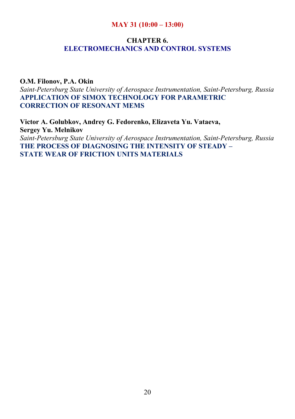#### **MAY 31 (10:00 – 13:00)**

# **CHAPTER 6. ELECTROMECHANICS AND CONTROL SYSTEMS**

#### **O.M. Filonov, P.A. Okin**

*Saint-Petersburg State University of Aerospace Instrumentation, Saint-Petersburg, Russia*  **APPLICATION OF SIMOX TECHNOLOGY FOR PARAMETRIC CORRECTION OF RESONANT MEMS** 

**Victor A. Golubkov, Andrey G. Fedorenko, Elizaveta Yu. Vataeva, Sergey Yu. Melnikov**  *Saint-Petersburg State University of Aerospace Instrumentation, Saint-Petersburg, Russia*  **THE PROCESS OF DIAGNOSING THE INTENSITY OF STEADY – STATE WEAR OF FRICTION UNITS MATERIALS**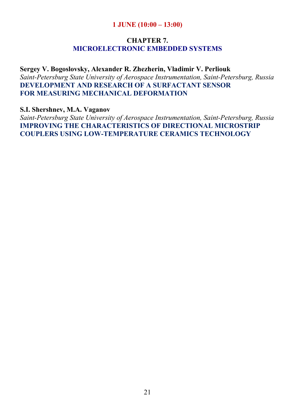### **1 JUNE (10:00 – 13:00)**

# **CHAPTER 7. MICROELECTRONIC EMBEDDED SYSTEMS**

**Sergey V. Bogoslovsky, Alexander R. Zhezherin, Vladimir V. Perliouk**  *Saint-Petersburg State University of Aerospace Instrumentation, Saint-Petersburg, Russia*  **DEVELOPMENT AND RESEARCH OF A SURFACTANT SENSOR FOR MEASURING MECHANICAL DEFORMATION** 

**S.I. Shershnev, M.A. Vaganov** 

*Saint-Petersburg State University of Aerospace Instrumentation, Saint-Petersburg, Russia*  **IMPROVING THE CHARACTERISTICS OF DIRECTIONAL MICROSTRIP COUPLERS USING LOW-TEMPERATURE CERAMICS TECHNOLOGY**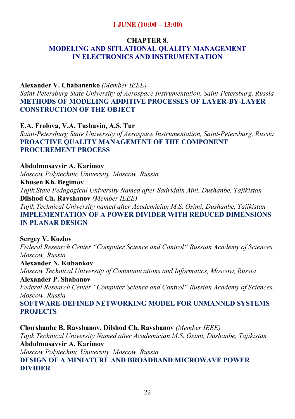# **1 JUNE (10:00 – 13:00)**

#### **CHAPTER 8.**

# **MODELING AND SITUATIONAL QUALITY MANAGEMENT IN ELECTRONICS AND INSTRUMENTATION**

### **Alexander V. Chabanenko** *(Member IEEE)*

*Saint-Petersburg State University of Aerospace Instrumentation, Saint-Petersburg, Russia*  **METHODS OF MODELING ADDITIVE PROCESSES OF LAYER-BY-LAYER CONSTRUCTION OF THE OBJECT** 

**E.A. Frolova, V.A. Tushavin, A.S. Tur**  *Saint-Petersburg State University of Aerospace Instrumentation, Saint-Petersburg, Russia*  **PROACTIVE QUALITY MANAGEMENT OF THE COMPONENT PROCUREMENT PROCESS** 

**Abdulmusavvir A. Karimov**  *Moscow Polytechnic University, Moscow, Russia*  **Khusen Kh. Begimov**  *Tajik State Pedagogical University Named after Sadriddin Aini, Dushanbe, Tajikistan*  **Dilshod Ch. Ravshanov** *(Member IEEE) Tajik Technical University named after Academician M.S. Osimi, Dushanbe, Tajikistan*  **IMPLEMENTATION OF A POWER DIVIDER WITH REDUCED DIMENSIONS IN PLANAR DESIGN** 

**Sergey V. Kozlov**  *Federal Research Center "Computer Science and Control" Russian Academy of Sciences, Moscow, Russia*  **Alexander N. Kubankov** 

*Moscow Technical University of Communications and Informatics, Moscow, Russia* 

**Alexander P. Shabanov**  *Federal Research Center "Computer Science and Control" Russian Academy of Sciences, Moscow, Russia* 

**SOFTWARE-DEFINED NETWORKING MODEL FOR UNMANNED SYSTEMS PROJECTS** 

**Chorshanbe B. Ravshanov, Dilshod Ch. Ravshanov** *(Member IEEE) Tajik Technical University Named after Academician M.S. Osimi, Dushanbe, Tajikistan*  **Abdulmusavvir A. Karimov**  *Moscow Polytechnic University, Moscow, Russia*  **DESIGN OF A MINIATURE AND BROADBAND MICROWAVE POWER DIVIDER**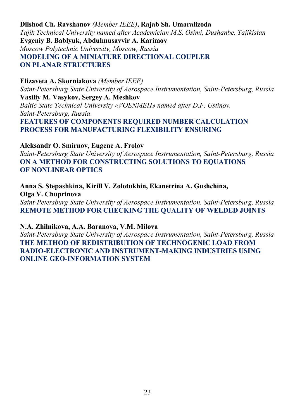**Dilshod Ch. Ravshanov** *(Member IEEE)***, Rajab Sh. Umaralizoda**  *Tajik Technical University named after Academician M.S. Osimi, Dushanbe, Tajikistan*  **Evgeniy Β. Bablyuk, Abdulmusavvir A. Karimov**  *Moscow Polytechnic University, Moscow, Russia*  **MODELING OF A MINIATURE DIRECTIONAL COUPLER ON PLANAR STRUCTURES** 

**Elizaveta A. Skorniakova** *(Member IEEE) Saint-Petersburg State University of Aerospace Instrumentation, Saint-Petersburg, Russia*  **Vasiliy M. Vasykov, Sergey A. Meshkov**  *Baltic State Technical University «VOENMEH» named after D.F. Ustinov, Saint-Petersburg, Russia*  **FEATURES OF COMPONENTS REQUIRED NUMBER CALCULATION PROCESS FOR MANUFACTURING FLEXIBILITY ENSURING** 

**Aleksandr O. Smirnov, Eugene A. Frolov** 

*Saint-Petersburg State University of Aerospace Instrumentation, Saint-Petersburg, Russia*  **ON A METHOD FOR CONSTRUCTING SOLUTIONS TO EQUATIONS OF NONLINEAR OPTICS** 

**Anna S. Stepashkina, Kirill V. Zolotukhin, Ekanetrina A. Gushchina, Olga V. Chuprinova** 

*Saint-Petersburg State University of Aerospace Instrumentation, Saint-Petersburg, Russia*  **REMOTE METHOD FOR CHECKING THE QUALITY OF WELDED JOINTS** 

#### **N.A. Zhilnikova, A.A. Baranova, V.M. Milova**

*Saint-Petersburg State University of Aerospace Instrumentation, Saint-Petersburg, Russia*  **THE METHOD OF REDISTRIBUTION OF TECHNOGENIC LOAD FROM RADIO-ELECTRONIC AND INSTRUMENT-MAKING INDUSTRIES USING ONLINE GEO-INFORMATION SYSTEM**